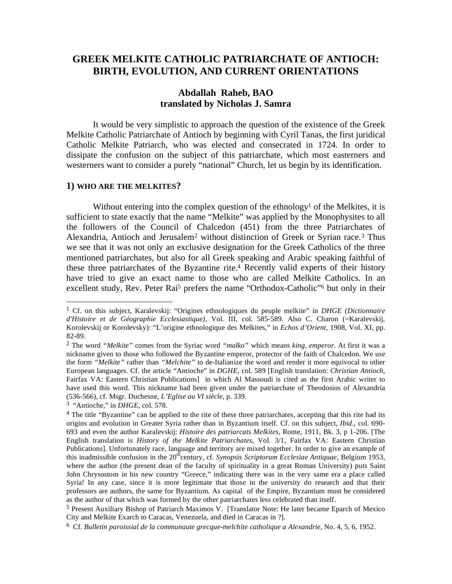# **GREEK MELKITE CATHOLIC PATRIARCHATE OF ANTIOCH: BIRTH, EVOLUTION, AND CURRENT ORIENTATIONS**

## **Abdallah Raheb, BAO translated by Nicholas J. Samra**

 It would be very simplistic to approach the question of the existence of the Greek Melkite Catholic Patriarchate of Antioch by beginning with Cyril Tanas, the first juridical Catholic Melkite Patriarch, who was elected and consecrated in 1724. In order to dissipate the confusion on the subject of this patriarchate, which most easterners and westerners want to consider a purely "national" Church, let us begin by its identification.

#### **1) WHO ARE THE MELKITES?**

Without entering into the complex question of the ethnology<sup>1</sup> of the Melkites, it is sufficient to state exactly that the name "Melkite" was applied by the Monophysites to all the followers of the Council of Chalcedon (451) from the three Patriarchates of Alexandria, Antioch and Jerusalem2 without distinction of Greek or Syrian race.3 Thus we see that it was not only an exclusive designation for the Greek Catholics of the three mentioned patriarchates, but also for all Greek speaking and Arabic speaking faithful of these three patriarchates of the Byzantine rite.4 Recently valid experts of their history have tried to give an exact name to those who are called Melkite Catholics. In an excellent study, Rev. Peter Rai<sup>5</sup> prefers the name "Orthodox-Catholic"<sup>6</sup> but only in their

<sup>1</sup> Cf. on this subject, Karalevskij: "Origines ethnologiques du peuple melkite" in *DHGE (Dictionnaire d'Histoire et de Géographie Ecclesiastique)*, Vol. III, col. 585-589. Also C. Charon (=Karalevskij, Korolevskij or Korolevsky): "L'origine ethnologique des Melkites," in *Echos d'Orient,* 1908, Vol. XI, pp. 82-89.

<sup>2</sup> The word *"Melkite"* comes from the Syriac word *"malko"* which means *king, emperor*. At first it was a nickname given to those who followed the Byzantine emperor, protector of the faith of Chalcedon. We use the form *"Melkite"* rather than *"Melchite"* to de-Italianize the word and render it more equivocal to other European languages. Cf. the article "Antioche" in *DGHE,* col. 589 [English translation: *Christian Antioch*, Fairfax VA: Eastern Christian Publications] in which Al Massoudi is cited as the first Arabic writer to have used this word. This nickname had been given under the patriarchate of Theodosios of Alexandria (536-566), cf. Msgr. Duchesne, *L'Eglise au VI siècle*, p. 339.

<sup>3 &</sup>quot;Antioche," in *DHGE*, col. 578.

<sup>&</sup>lt;sup>4</sup> The title "Byzantine" can be applied to the rite of these three patriarchates, accepting that this rite had its origins and evolution in Greater Syria rather than in Byzantium itself. Cf. on this subject, *Ibid*., col. 690- 693 and even the author Karalevskij: *Histoire des patriarcats Melkites*, Rome, 1911, Bk. 3, p 1-206. [The English translation is *History of the Melkite Patriarchates*, Vol. 3/1, Fairfax VA: Eastern Christian Publications]. Unfortunately race, language and territory are mixed together. In order to give an example of this inadmissible confusion in the  $20<sup>th</sup>$ century, cf. *Synopsis Scriptorum Ecclesiae Antiquae*, Belgium 1953, where the author (the present dean of the faculty of spirituality in a great Roman University) puts Saint John Chrysostom in his new country "Greece," indicating there was in the very same era a place called Syria! In any case, since it is more legitimate that those in the university do research and that their professors are authors, the same for Byzantium. As capital of the Empire, Byzantium must be considered as the author of that which was formed by the other patriarchates less celebrated than itself.

<sup>5</sup> Present Auxiliary Bishop of Patriarch Maximos V. [Translator Note: He later became Eparch of Mexico City and Melkite Exarch to Caracas, Venezuela, and died in Caracas in ?].

<sup>6</sup> Cf. *Bulletin paroissial de la communaute grecque-melchite catholique a Alexandrie*, No. 4, 5, 6, 1952.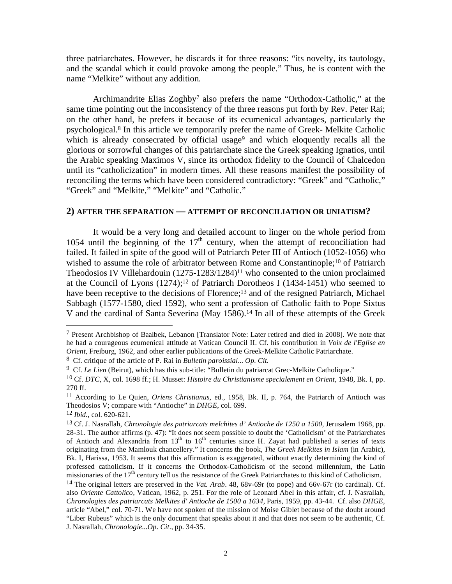three patriarchates. However, he discards it for three reasons: "its novelty, its tautology, and the scandal which it could provoke among the people." Thus, he is content with the name "Melkite" without any addition.

Archimandrite Elias Zoghby<sup>7</sup> also prefers the name "Orthodox-Catholic," at the same time pointing out the inconsistency of the three reasons put forth by Rev. Peter Rai; on the other hand, he prefers it because of its ecumenical advantages, particularly the psychological.8 In this article we temporarily prefer the name of Greek- Melkite Catholic which is already consecrated by official usage<sup>9</sup> and which eloquently recalls all the glorious or sorrowful changes of this patriarchate since the Greek speaking Ignatios, until the Arabic speaking Maximos V, since its orthodox fidelity to the Council of Chalcedon until its "catholicization" in modern times. All these reasons manifest the possibility of reconciling the terms which have been considered contradictory: "Greek" and "Catholic," "Greek" and "Melkite," "Melkite" and "Catholic."

#### **2) AFTER THE SEPARATION — ATTEMPT OF RECONCILIATION OR UNIATISM?**

 It would be a very long and detailed account to linger on the whole period from 1054 until the beginning of the  $17<sup>th</sup>$  century, when the attempt of reconciliation had failed. It failed in spite of the good will of Patriarch Peter III of Antioch (1052-1056) who wished to assume the role of arbitrator between Rome and Constantinople;<sup>10</sup> of Patriarch Theodosios IV Villehardouin (1275-1283/1284)11 who consented to the union proclaimed at the Council of Lyons  $(1274);^{12}$  of Patriarch Dorotheos I  $(1434-1451)$  who seemed to have been receptive to the decisions of Florence;<sup>13</sup> and of the resigned Patriarch, Michael Sabbagh (1577-1580, died 1592), who sent a profession of Catholic faith to Pope Sixtus V and the cardinal of Santa Severina (May 1586).14 In all of these attempts of the Greek

<sup>7</sup> Present Archbishop of Baalbek, Lebanon [Translator Note: Later retired and died in 2008]. We note that he had a courageous ecumenical attitude at Vatican Council II. Cf. his contribution in *Voix de l'Eglise en Orient,* Freiburg, 1962, and other earlier publications of the Greek-Melkite Catholic Patriarchate.

<sup>8</sup> Cf. critique of the article of P. Rai in *Bulletin paroissial*... *Op. Cit.*

<sup>9</sup> Cf. *Le Lien* (Beirut), which has this sub-title: "Bulletin du patriarcat Grec-Melkite Catholique."

<sup>10</sup> Cf. *DTC*, X, col. 1698 ff.; H. Musset: *Histoire du Christianisme specialement en Orient,* 1948, Bk. I, pp. 270 ff.

<sup>11</sup> According to Le Quien, *Oriens Christianus*, ed., 1958, Bk. II, p. 764, the Patriarch of Antioch was Theodosios V; compare with "Antioche" in *DHGE*, col. 699.

<sup>12</sup> *Ibid.*, col. 620-621.

<sup>13</sup> Cf. J. Nasrallah, *Chronologie des patriarcats melchites d' Antioche de 1250 a 1500,* Jerusalem 1968, pp. 28-31. The author affirms (p. 47): "It does not seem possible to doubt the 'Catholicism' of the Patriarchates of Antioch and Alexandria from  $13<sup>th</sup>$  to  $16<sup>th</sup>$  centuries since H. Zayat had published a series of texts originating from the Mamlouk chancellery." It concerns the book, *The Greek Melkites in Islam* (in Arabic), Bk. I, Harissa, 1953. It seems that this affirmation is exaggerated, without exactly determining the kind of professed catholicism. If it concerns the Orthodox-Catholicism of the second millennium, the Latin missionaries of the  $17<sup>th</sup>$  century tell us the resistance of the Greek Patriarchates to this kind of Catholicism.

<sup>14</sup> The original letters are preserved in the *Vat. Arab*. 48, 68v-69r (to pope) and 66v-67r (to cardinal). Cf. also *Oriente Cattolico*, Vatican, 1962, p. 251. For the role of Leonard Abel in this affair, cf. J. Nasrallah, *Chronologies des patriarcats Melkites d' Antioche de 1500 a 1634,* Paris, 1959, pp. 43-44. Cf. also *DHGE,* article "Abel," col. 70-71. We have not spoken of the mission of Moise Giblet because of the doubt around "Liber Rubeus" which is the only document that speaks about it and that does not seem to be authentic, Cf. J. Nasrallah, *Chronologie...Op. Cit*., pp. 34-35.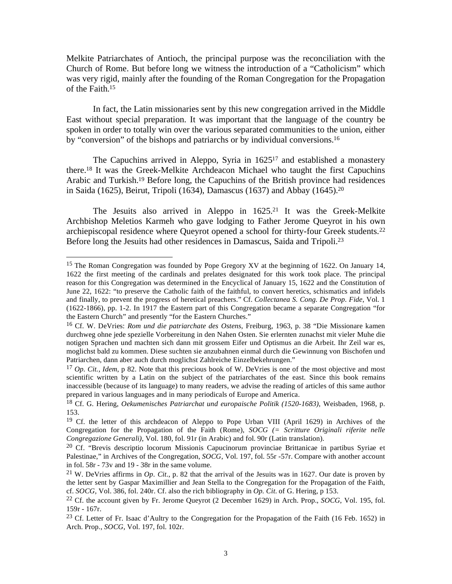Melkite Patriarchates of Antioch, the principal purpose was the reconciliation with the Church of Rome. But before long we witness the introduction of a "Catholicism" which was very rigid, mainly after the founding of the Roman Congregation for the Propagation of the Faith.15

 In fact, the Latin missionaries sent by this new congregation arrived in the Middle East without special preparation. It was important that the language of the country be spoken in order to totally win over the various separated communities to the union, either by "conversion" of the bishops and patriarchs or by individual conversions.16

 The Capuchins arrived in Aleppo, Syria in 162517 and established a monastery there.18 It was the Greek-Melkite Archdeacon Michael who taught the first Capuchins Arabic and Turkish.19 Before long, the Capuchins of the British province had residences in Saida (1625), Beirut, Tripoli (1634), Damascus (1637) and Abbay (1645).20

 The Jesuits also arrived in Aleppo in 1625.21 It was the Greek-Melkite Archbishop Meletios Karmeh who gave lodging to Father Jerome Queyrot in his own archiepiscopal residence where Queyrot opened a school for thirty-four Greek students.22 Before long the Jesuits had other residences in Damascus, Saida and Tripoli.23

1

<sup>&</sup>lt;sup>15</sup> The Roman Congregation was founded by Pope Gregory XV at the beginning of 1622. On January 14, 1622 the first meeting of the cardinals and prelates designated for this work took place. The principal reason for this Congregation was determined in the Encyclical of January 15, 1622 and the Constitution of June 22, 1622: "to preserve the Catholic faith of the faithful, to convert heretics, schismatics and infidels and finally, to prevent the progress of heretical preachers." Cf. *Collectanea S. Cong. De Prop. Fide*, Vol. 1 (1622-1866), pp. 1-2. In 1917 the Eastern part of this Congregation became a separate Congregation "for the Eastern Church" and presently "for the Eastern Churches."

<sup>16</sup> Cf. W. DeVries: *Rom und die patriarchate des Ostens*, Freiburg, 1963, p. 38 "Die Missionare kamen durchweg ohne jede spezielle Vorbereitung in den Nahen Osten. Sie erlernten zunachst mit vieler Muhe die notigen Sprachen und machten sich dann mit grossem Eifer und Optismus an die Arbeit. Ihr Zeil war es, moglichst bald zu kommen. Diese suchten sie anzubahnen einmal durch die Gewinnung von Bischofen und Patriarchen, dann aber auch durch moglichst Zahlreiche Einzelbekehrungen."

<sup>17</sup> *Op. Cit., Idem*, p 82. Note that this precious book of W. DeVries is one of the most objective and most scientific written by a Latin on the subject of the patriarchates of the east. Since this book remains inaccessible (because of its language) to many readers, we advise the reading of articles of this same author prepared in various languages and in many periodicals of Europe and America.

<sup>18</sup> Cf. G. Hering, *Oekumenisches Patriarchat und europaische Politik (1520-1683)*, Weisbaden, 1968, p. 153.

<sup>&</sup>lt;sup>19</sup> Cf. the letter of this archdeacon of Aleppo to Pope Urban VIII (April 1629) in Archives of the Congregation for the Propagation of the Faith (Rome), *SOCG (= Scritture Originali riferite nelle Congregazione Generali)*, Vol. 180, fol. 91r (in Arabic) and fol. 90r (Latin translation).

 $20$  Cf. "Brevis descriptio locorum Missionis Capucinorum provinciae Brittanicae in partibus Syriae et Palestinae," in Archives of the Congregation, *SOCG*, Vol. 197, fol. 55r -57r. Compare with another account in fol. 58r - 73v and 19 - 38r in the same volume.

<sup>&</sup>lt;sup>21</sup> W. DeVries affirms in *Op. Cit.*, p. 82 that the arrival of the Jesuits was in 1627. Our date is proven by the letter sent by Gaspar Maximillier and Jean Stella to the Congregation for the Propagation of the Faith, cf. *SOCG,* Vol. 386, fol. 240r. Cf. also the rich bibliography in *Op. Cit*. of G. Hering, p 153.

<sup>22</sup> Cf. the account given by Fr. Jerome Queyrot (2 December 1629) in Arch. Prop., *SOCG*, Vol. 195, fol. 159r - 167r.

<sup>&</sup>lt;sup>23</sup> Cf. Letter of Fr. Isaac d'Aultry to the Congregation for the Propagation of the Faith (16 Feb. 1652) in Arch. Prop., *SOCG*, Vol. 197, fol. 102r.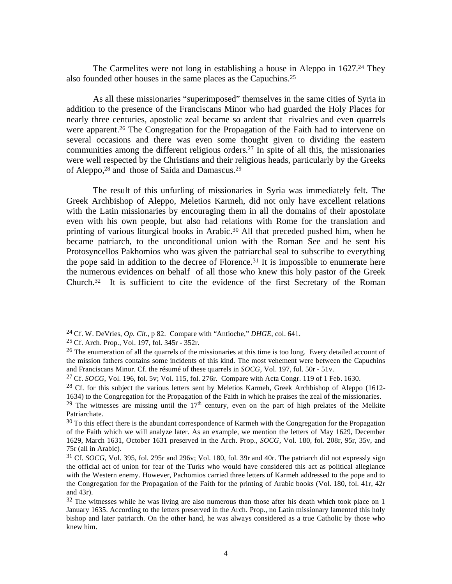The Carmelites were not long in establishing a house in Aleppo in 1627.<sup>24</sup> They also founded other houses in the same places as the Capuchins.25

 As all these missionaries "superimposed" themselves in the same cities of Syria in addition to the presence of the Franciscans Minor who had guarded the Holy Places for nearly three centuries, apostolic zeal became so ardent that rivalries and even quarrels were apparent.<sup>26</sup> The Congregation for the Propagation of the Faith had to intervene on several occasions and there was even some thought given to dividing the eastern communities among the different religious orders.27 In spite of all this, the missionaries were well respected by the Christians and their religious heads, particularly by the Greeks of Aleppo,28 and those of Saida and Damascus.29

 The result of this unfurling of missionaries in Syria was immediately felt. The Greek Archbishop of Aleppo, Meletios Karmeh, did not only have excellent relations with the Latin missionaries by encouraging them in all the domains of their apostolate even with his own people, but also had relations with Rome for the translation and printing of various liturgical books in Arabic.30 All that preceded pushed him, when he became patriarch, to the unconditional union with the Roman See and he sent his Protosyncellos Pakhomios who was given the patriarchal seal to subscribe to everything the pope said in addition to the decree of Florence.31 It is impossible to enumerate here the numerous evidences on behalf of all those who knew this holy pastor of the Greek Church.32 It is sufficient to cite the evidence of the first Secretary of the Roman

<sup>24</sup> Cf. W. DeVries, *Op. Cit*., p 82. Compare with "Antioche," *DHGE,* col. 641.

<sup>25</sup> Cf. Arch. Prop., Vol. 197, fol. 345r - 352r.

 $^{26}$  The enumeration of all the quarrels of the missionaries at this time is too long. Every detailed account of the mission fathers contains some incidents of this kind. The most vehement were between the Capuchins and Franciscans Minor. Cf. the résumé of these quarrels in *SOCG*, Vol. 197, fol. 50r - 51v.

<sup>27</sup> Cf. *SOCG*, Vol. 196, fol. 5v; Vol. 115, fol. 276r. Compare with Acta Congr. 119 of 1 Feb. 1630.

<sup>&</sup>lt;sup>28</sup> Cf. for this subject the various letters sent by Meletios Karmeh, Greek Archbishop of Aleppo (1612-1634) to the Congregation for the Propagation of the Faith in which he praises the zeal of the missionaries.

<sup>&</sup>lt;sup>29</sup> The witnesses are missing until the  $17<sup>th</sup>$  century, even on the part of high prelates of the Melkite Patriarchate.

 $30$  To this effect there is the abundant correspondence of Karmeh with the Congregation for the Propagation of the Faith which we will analyze later. As an example, we mention the letters of May 1629, December 1629, March 1631, October 1631 preserved in the Arch. Prop., *SOCG*, Vol. 180, fol. 208r, 95r, 35v, and 75r (all in Arabic).

<sup>31</sup> Cf. *SOCG,* Vol. 395, fol. 295r and 296v; Vol. 180, fol. 39r and 40r. The patriarch did not expressly sign the official act of union for fear of the Turks who would have considered this act as political allegiance with the Western enemy. However, Pachomios carried three letters of Karmeh addressed to the pope and to the Congregation for the Propagation of the Faith for the printing of Arabic books (Vol. 180, fol. 41r, 42r and 43r).

 $32$  The witnesses while he was living are also numerous than those after his death which took place on 1 January 1635. According to the letters preserved in the Arch. Prop., no Latin missionary lamented this holy bishop and later patriarch. On the other hand, he was always considered as a true Catholic by those who knew him.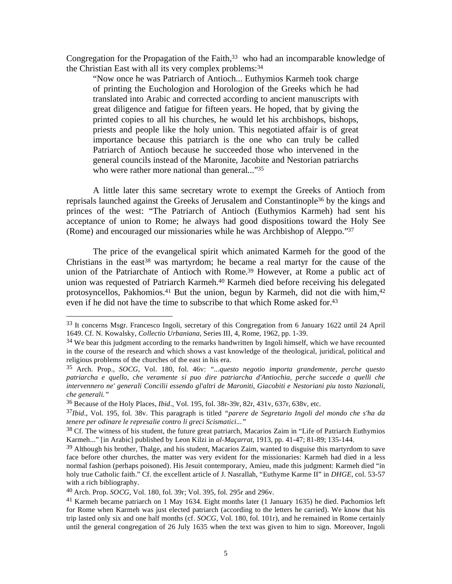Congregation for the Propagation of the Faith,<sup>33</sup> who had an incomparable knowledge of the Christian East with all its very complex problems:34

"Now once he was Patriarch of Antioch... Euthymios Karmeh took charge of printing the Euchologion and Horologion of the Greeks which he had translated into Arabic and corrected according to ancient manuscripts with great diligence and fatigue for fifteen years. He hoped, that by giving the printed copies to all his churches, he would let his archbishops, bishops, priests and people like the holy union. This negotiated affair is of great importance because this patriarch is the one who can truly be called Patriarch of Antioch because he succeeded those who intervened in the general councils instead of the Maronite, Jacobite and Nestorian patriarchs who were rather more national than general..."35

 A little later this same secretary wrote to exempt the Greeks of Antioch from reprisals launched against the Greeks of Jerusalem and Constantinople36 by the kings and princes of the west: "The Patriarch of Antioch (Euthymios Karmeh) had sent his acceptance of union to Rome; he always had good dispositions toward the Holy See (Rome) and encouraged our missionaries while he was Archbishop of Aleppo."37

 The price of the evangelical spirit which animated Karmeh for the good of the Christians in the east<sup>38</sup> was martyrdom; he became a real martyr for the cause of the union of the Patriarchate of Antioch with Rome.<sup>39</sup> However, at Rome a public act of union was requested of Patriarch Karmeh.40 Karmeh died before receiving his delegated protosyncellos, Pakhomios.<sup>41</sup> But the union, begun by Karmeh, did not die with him,<sup>42</sup> even if he did not have the time to subscribe to that which Rome asked for.<sup>43</sup>

1

<sup>33</sup> It concerns Msgr. Francesco Ingoli, secretary of this Congregation from 6 January 1622 until 24 April 1649. Cf. N. Kowalsky, *Collectio Urbaniana*, Series III, 4, Rome, 1962, pp. 1-39.

 $34$  We bear this judgment according to the remarks handwritten by Ingoli himself, which we have recounted in the course of the research and which shows a vast knowledge of the theological, juridical, political and religious problems of the churches of the east in his era.

<sup>35</sup> Arch. Prop., *SOCG*, Vol. 180, fol. 46v: *"...questo negotio importa grandemente, perche questo patriarcha e quello, che veramente si puo dire patriarcha d'Antiochia, perche succede a quelli che intervennero ne' generali Concilii essendo gl'altri de Maroniti, Giacobiti e Nestoriani piu tosto Nazionali, che generali."* 

<sup>36</sup> Because of the Holy Places, *Ibid.*, Vol. 195, fol. 38r-39r, 82r, 431v, 637r, 638v, etc.

<sup>37</sup>*Ibid*., Vol. 195, fol. 38v. This paragraph is titled *"parere de Segretario Ingoli del mondo che s'ha da tenere per odinare le represalie contro li greci Scismatici..."* 

<sup>&</sup>lt;sup>38</sup> Cf. The witness of his student, the future great patriarch, Macarios Zaim in "Life of Patriarch Euthymios" Karmeh..." [in Arabic] published by Leon Kilzi in *al-Maçarrat,* 1913, pp. 41-47; 81-89; 135-144.

 $39$  Although his brother, Thalge, and his student, Macarios Zaim, wanted to disguise this martyrdom to save face before other churches, the matter was very evident for the missionaries: Karmeh had died in a less normal fashion (perhaps poisoned). His Jesuit contemporary, Amieu, made this judgment: Karmeh died "in holy true Catholic faith." Cf. the excellent article of J. Nasrallah, "Euthyme Karme II" in *DHGE,* col. 53-57 with a rich bibliography.

<sup>40</sup> Arch. Prop. *SOCG*, Vol. 180, fol. 39r; Vol. 395, fol. 295r and 296v.

<sup>&</sup>lt;sup>41</sup> Karmeh became patriarch on 1 May 1634. Eight months later (1 January 1635) he died. Pachomios left for Rome when Karmeh was just elected patriarch (according to the letters he carried). We know that his trip lasted only six and one half months (cf. *SOCG,* Vol. 180, fol. 101r), and he remained in Rome certainly until the general congregation of 26 July 1635 when the text was given to him to sign. Moreover, Ingoli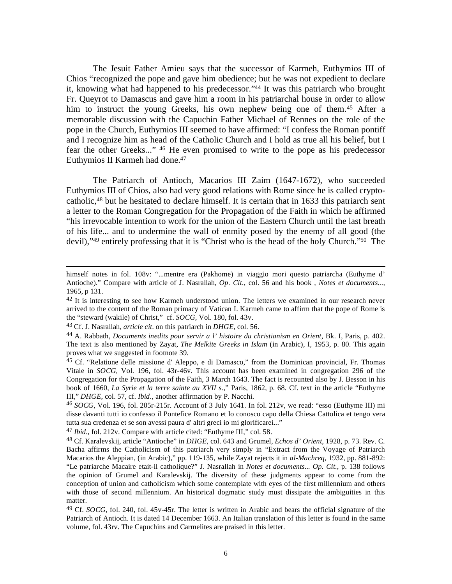The Jesuit Father Amieu says that the successor of Karmeh, Euthymios III of Chios "recognized the pope and gave him obedience; but he was not expedient to declare it, knowing what had happened to his predecessor."44 It was this patriarch who brought Fr. Queyrot to Damascus and gave him a room in his patriarchal house in order to allow him to instruct the young Greeks, his own nephew being one of them.<sup>45</sup> After a memorable discussion with the Capuchin Father Michael of Rennes on the role of the pope in the Church, Euthymios III seemed to have affirmed: "I confess the Roman pontiff and I recognize him as head of the Catholic Church and I hold as true all his belief, but I fear the other Greeks..." 46 He even promised to write to the pope as his predecessor Euthymios II Karmeh had done.47

 The Patriarch of Antioch, Macarios III Zaim (1647-1672), who succeeded Euthymios III of Chios, also had very good relations with Rome since he is called cryptocatholic,48 but he hesitated to declare himself. It is certain that in 1633 this patriarch sent a letter to the Roman Congregation for the Propagation of the Faith in which he affirmed "his irrevocable intention to work for the union of the Eastern Church until the last breath of his life... and to undermine the wall of enmity posed by the enemy of all good (the devil),"49 entirely professing that it is "Christ who is the head of the holy Church."50 The

himself notes in fol. 108v: "...mentre era (Pakhome) in viaggio mori questo patriarcha (Euthyme d' Antioche)." Compare with article of J. Nasrallah, *Op. Cit*., col. 56 and his book , *Notes et documents...,*  1965, p 131.

 $42$  It is interesting to see how Karmeh understood union. The letters we examined in our research never arrived to the content of the Roman primacy of Vatican I. Karmeh came to affirm that the pope of Rome is the "steward (wakile) of Christ," cf. *SOCG,* Vol. 180, fol. 43v.

<sup>43</sup> Cf. J. Nasrallah, *article cit*. on this patriarch in *DHGE*, col. 56.

<sup>44</sup> A. Rabbath, *Documents inedits pour servir a l' histoire du christianism en Orient*, Bk. I, Paris, p. 402. The text is also mentioned by Zayat, *The Melkite Greeks in Islam* (in Arabic), I, 1953, p. 80. This again proves what we suggested in footnote 39.

<sup>&</sup>lt;sup>45</sup> Cf. "Relatione delle missione d' Aleppo, e di Damasco," from the Dominican provincial, Fr. Thomas Vitale in *SOCG,* Vol. 196, fol. 43r-46v. This account has been examined in congregation 296 of the Congregation for the Propagation of the Faith, 3 March 1643. The fact is recounted also by J. Besson in his book of 1660, *La Syrie et la terre sainte au XVII s.,*" Paris, 1862, p. 68. Cf. text in the article "Euthyme III," *DHGE*, col. 57, cf. *Ibid*., another affirmation by P. Nacchi.

<sup>46</sup> *SOCG*, Vol. 196, fol. 205r-215r. Account of 3 July 1641. In fol. 212v, we read: "esso (Euthyme III) mi disse davanti tutti io confesso il Pontefice Romano et lo conosco capo della Chiesa Cattolica et tengo vera tutta sua credenza et se son avessi paura d' altri greci io mi glorificarei..."

<sup>47</sup> *Ibid*., fol. 212v. Compare with article cited: "Euthyme III," col. 58.

<sup>48</sup> Cf. Karalevskij, article "Antioche" in *DHGE*, col. 643 and Grumel, *Echos d' Orient*, 1928, p. 73. Rev. C. Bacha affirms the Catholicism of this patriarch very simply in "Extract from the Voyage of Patriarch Macarios the Aleppian, (in Arabic)," pp. 119-135, while Zayat rejects it in *al-Machreq,* 1932, pp. 881-892: "Le patriarche Macaire etait-il catholique?" J. Nasrallah in *Notes et documents... Op. Cit*., p. 138 follows the opinion of Grumel and Karalevskij. The diversity of these judgments appear to come from the conception of union and catholicism which some contemplate with eyes of the first millennium and others with those of second millennium. An historical dogmatic study must dissipate the ambiguities in this matter.

<sup>49</sup> Cf. *SOCG,* fol. 240, fol. 45v-45r. The letter is written in Arabic and bears the official signature of the Patriarch of Antioch. It is dated 14 December 1663. An Italian translation of this letter is found in the same volume, fol. 43rv. The Capuchins and Carmelites are praised in this letter.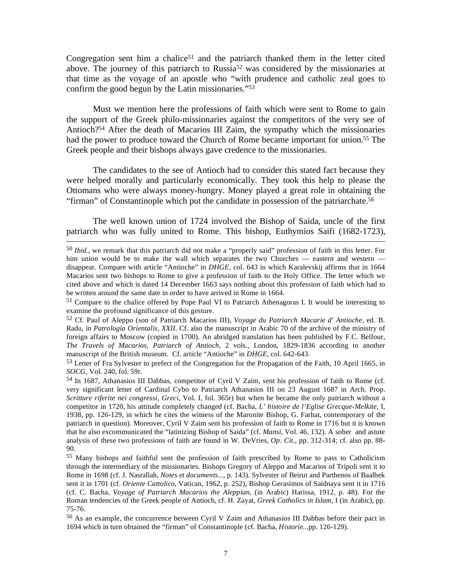Congregation sent him a chalice<sup>51</sup> and the patriarch thanked them in the letter cited above. The journey of this patriarch to Russia<sup>52</sup> was considered by the missionaries at that time as the voyage of an apostle who "with prudence and catholic zeal goes to confirm the good begun by the Latin missionaries."53

 Must we mention here the professions of faith which were sent to Rome to gain the support of the Greek philo-missionaries against the competitors of the very see of Antioch?54 After the death of Macarios III Zaim, the sympathy which the missionaries had the power to produce toward the Church of Rome became important for union.<sup>55</sup> The Greek people and their bishops always gave credence to the missionaries.

 The candidates to the see of Antioch had to consider this stated fact because they were helped morally and particularly economically. They took this help to please the Ottomans who were always money-hungry. Money played a great role in obtaining the "firman" of Constantinople which put the candidate in possession of the patriarchate.56

 The well known union of 1724 involved the Bishop of Saida, uncle of the first patriarch who was fully united to Rome. This bishop, Euthymios Saifi (1682-1723),

 <sup>50</sup> *Ibid.*, we remark that this patriarch did not make a "properly said" profession of faith in this letter. For him union would be to make the wall which separates the two Churches — eastern and western disappear. Compare with article "Antioche" in *DHGE,* col. 643 in which Karalevskij affirms that in 1664 Macarios sent two bishops to Rome to give a profession of faith to the Holy Office. The letter which we cited above and which is dated 14 December 1663 says nothing about this profession of faith which had to be written around the same date in order to have arrived in Rome in 1664.

<sup>51</sup> Compare to the chalice offered by Pope Paul VI to Patriarch Athenagoras I. It would be interesting to examine the profound significance of this gesture.

<sup>52</sup> Cf. Paul of Aleppo (son of Patriarch Macarios III), *Voyage du Patriarch Macarie d' Antioche,* ed. B. Radu, in *Patrologia Orientalis, XXII*. Cf. also the manuscript in Arabic 70 of the archive of the ministry of foreign affairs to Moscow (copied in 1700). An abridged translation has been published by F.C. Belfour, *The Travels of Macarios, Patriarch of Antioch*, 2 vols., London, 1829-1836 according to another manuscript of the British museum. Cf. article "Antioche" in *DHGE*, col. 642-643.

<sup>&</sup>lt;sup>53</sup> Letter of Fra Sylvester to prefect of the Congregation for the Propagation of the Faith, 10 April 1665, in *SOCG,* Vol. 240, fol. 59r.

<sup>54</sup> In 1687, Athanasios III Dabbas, competitor of Cyril V Zaim, sent his profession of faith to Rome (cf. very significant letter of Cardinal Cybo to Patriarch Athanasios III on 23 August 1687 in Arch. Prop. *Scritture riferite nei congressi, Greci*, Vol. I, fol. 365r) but when he became the only patriarch without a competitor in 1720, his attitude completely changed (cf. Bacha, *L' histoire de l'Eglise Grecque-Melkite*, I, 1938, pp. 126-129, in which he cites the witness of the Maronite Bishop, G. Farhat, contemporary of the patriarch in question). Moreover, Cyril V Zaim sent his profession of faith to Rome in 1716 but it is known that he also excommunicated the "latinizing Bishop of Saida" (cf. *Mansi,* Vol. 46, 132). A sober and astute analysis of these two professions of faith are found in W. DeVries, *Op. Cit*., pp. 312-314; cf. also pp. 88- 90.

<sup>55</sup> Many bishops and faithful sent the profession of faith prescribed by Rome to pass to Catholicism through the intermediary of the missionaries. Bishops Gregory of Aleppo and Macarios of Tripoli sent it to Rome in 1698 (cf. J. Nasrallah, *Notes et documents...,* p. 143). Sylvester of Beirut and Parthenos of Baalbek sent it in 1701 (cf. *Oriente Cattolico*, Vatican, 1962, p. 252), Bishop Gerasimos of Saidnaya sent it in 1716 (cf. C. Bacha, *Voyage of Patriarch Macarios the Aleppian*, (in Arabic) Harissa, 1912, p. 48). For the Roman tendencies of the Greek people of Antioch, cf. H. Zayat, *Greek Catholics in Islam*, I (in Arabic), pp. 75-76.

<sup>56</sup> As an example, the concurrence between Cyril V Zaim and Athanasios III Dabbas before their pact in 1694 which in turn obtained the "firman" of Constantinople (cf. Bacha, *Historie..*.pp. 126-129).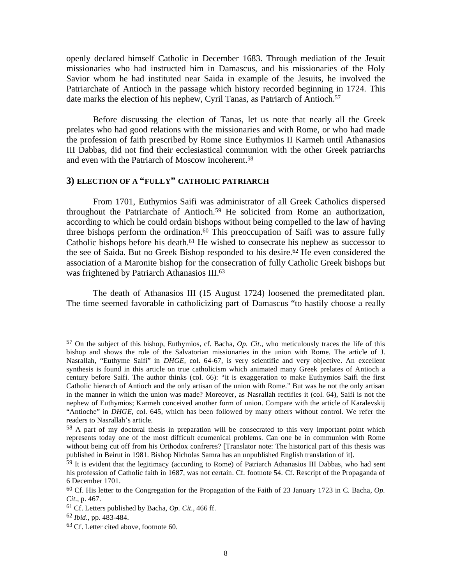openly declared himself Catholic in December 1683. Through mediation of the Jesuit missionaries who had instructed him in Damascus, and his missionaries of the Holy Savior whom he had instituted near Saida in example of the Jesuits, he involved the Patriarchate of Antioch in the passage which history recorded beginning in 1724. This date marks the election of his nephew, Cyril Tanas, as Patriarch of Antioch.<sup>57</sup>

 Before discussing the election of Tanas, let us note that nearly all the Greek prelates who had good relations with the missionaries and with Rome, or who had made the profession of faith prescribed by Rome since Euthymios II Karmeh until Athanasios III Dabbas, did not find their ecclesiastical communion with the other Greek patriarchs and even with the Patriarch of Moscow incoherent.58

# **3) ELECTION OF A "FULLY" CATHOLIC PATRIARCH**

 From 1701, Euthymios Saifi was administrator of all Greek Catholics dispersed throughout the Patriarchate of Antioch.59 He solicited from Rome an authorization, according to which he could ordain bishops without being compelled to the law of having three bishops perform the ordination.<sup>60</sup> This preoccupation of Saifi was to assure fully Catholic bishops before his death.<sup>61</sup> He wished to consecrate his nephew as successor to the see of Saida. But no Greek Bishop responded to his desire.<sup>62</sup> He even considered the association of a Maronite bishop for the consecration of fully Catholic Greek bishops but was frightened by Patriarch Athanasios III.<sup>63</sup>

 The death of Athanasios III (15 August 1724) loosened the premeditated plan. The time seemed favorable in catholicizing part of Damascus "to hastily choose a really

<sup>57</sup> On the subject of this bishop, Euthymios, cf. Bacha, *Op. Cit*., who meticulously traces the life of this bishop and shows the role of the Salvatorian missionaries in the union with Rome. The article of J. Nasrallah, "Euthyme Saifi" in *DHGE,* col. 64-67, is very scientific and very objective. An excellent synthesis is found in this article on true catholicism which animated many Greek prelates of Antioch a century before Saifi. The author thinks (col. 66): "it is exaggeration to make Euthymios Saifi the first Catholic hierarch of Antioch and the only artisan of the union with Rome." But was he not the only artisan in the manner in which the union was made? Moreover, as Nasrallah rectifies it (col. 64), Saifi is not the nephew of Euthymios; Karmeh conceived another form of union. Compare with the article of Karalevskij "Antioche" in *DHGE,* col. 645, which has been followed by many others without control. We refer the readers to Nasrallah's article.

<sup>&</sup>lt;sup>58</sup> A part of my doctoral thesis in preparation will be consecrated to this very important point which represents today one of the most difficult ecumenical problems. Can one be in communion with Rome without being cut off from his Orthodox confreres? [Translator note: The historical part of this thesis was published in Beirut in 1981. Bishop Nicholas Samra has an unpublished English translation of it].

<sup>&</sup>lt;sup>59</sup> It is evident that the legitimacy (according to Rome) of Patriarch Athanasios III Dabbas, who had sent his profession of Catholic faith in 1687, was not certain. Cf. footnote 54. Cf. Rescript of the Propaganda of 6 December 1701.

<sup>60</sup> Cf. His letter to the Congregation for the Propagation of the Faith of 23 January 1723 in C. Bacha, *Op. Cit*., p. 467.

<sup>61</sup> Cf. Letters published by Bacha, *Op. Cit.*, 466 ff.

<sup>62</sup> *Ibid*., pp. 483-484.

<sup>&</sup>lt;sup>63</sup> Cf. Letter cited above, footnote 60.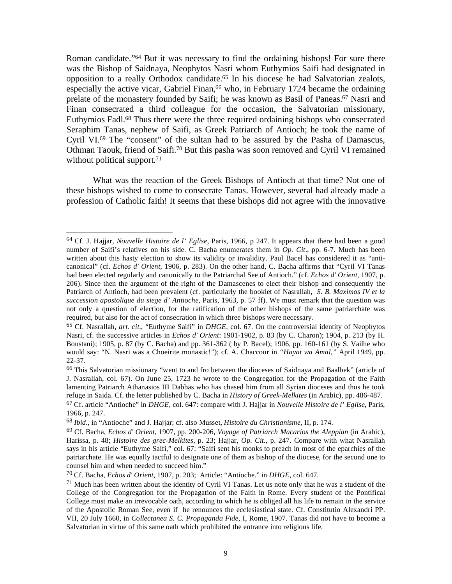Roman candidate."64 But it was necessary to find the ordaining bishops! For sure there was the Bishop of Saidnaya, Neophytos Nasri whom Euthymios Saifi had designated in opposition to a really Orthodox candidate.65 In his diocese he had Salvatorian zealots, especially the active vicar, Gabriel Finan,<sup>66</sup> who, in February 1724 became the ordaining prelate of the monastery founded by Saifi; he was known as Basil of Paneas.<sup>67</sup> Nasri and Finan consecrated a third colleague for the occasion, the Salvatorian missionary, Euthymios Fadl.68 Thus there were the three required ordaining bishops who consecrated Seraphim Tanas, nephew of Saifi, as Greek Patriarch of Antioch; he took the name of Cyril VI.69 The "consent" of the sultan had to be assured by the Pasha of Damascus, Othman Taouk, friend of Saifi.70 But this pasha was soon removed and Cyril VI remained without political support.<sup>71</sup>

 What was the reaction of the Greek Bishops of Antioch at that time? Not one of these bishops wished to come to consecrate Tanas. However, several had already made a profession of Catholic faith! It seems that these bishops did not agree with the innovative

1

<sup>64</sup> Cf. J. Hajjar, *Nouvelle Histoire de l' Eglise*, Paris, 1966, p 247. It appears that there had been a good number of Saifi's relatives on his side. C. Bacha enumerates them in *Op. Cit*., pp. 6-7. Much has been written about this hasty election to show its validity or invalidity. Paul Bacel has considered it as "anticanonical" (cf. *Echos d' Orient,* 1906, p. 283). On the other hand, C. Bacha affirms that "Cyril VI Tanas had been elected regularly and canonically to the Patriarchal See of Antioch." (cf. *Echos d' Orient*, 1907, p. 206). Since then the argument of the right of the Damascenes to elect their bishop and consequently the Patriarch of Antioch, had been prevalent (cf. particularly the booklet of Nasrallah, *S. B. Maximos IV et la succession apostolique du siege d' Antioche*, Paris, 1963, p. 57 ff). We must remark that the question was not only a question of election, for the ratification of the other bishops of the same patriarchate was required, but also for the act of consecration in which three bishops were necessary.

<sup>65</sup> Cf. Nasrallah, *art. cit*., "Euthyme Saifi" in *DHGE*, col. 67. On the controversial identity of Neophytos Nasri, cf. the successive articles in *Echos d' Orient*: 1901-1902, p. 83 (by C. Charon); 1904, p. 213 (by H. Boustani); 1905, p. 87 (by C. Bacha) and pp. 361-362 ( by P. Bacel); 1906, pp. 160-161 (by S. Vailhe who would say: "N. Nasri was a Choeirite monastic!"); cf. A. Chaccour in *"Hayat wa Amal,"* April 1949, pp. 22-37.

<sup>66</sup> This Salvatorian missionary "went to and fro between the dioceses of Saidnaya and Baalbek" (article of J. Nasrallah, col. 67). On June 25, 1723 he wrote to the Congregation for the Propagation of the Faith lamenting Patriarch Athanasios III Dabbas who has chased him from all Syrian dioceses and thus he took refuge in Saida. Cf. the letter published by C. Bacha in *History of Greek-Melkites* (in Arabic), pp. 486-487. 67 Cf. article "Antioche" in *DHGE,* col. 647: compare with J. Hajjar in *Nouvelle Histoire de l' Eglise,* Paris, 1966, p. 247.

<sup>68</sup> *Ibid*., in "Antioche" and J. Hajjar; cf. also Musset, *Histoire du Christianisme*, II, p. 174.

<sup>69</sup> Cf. Bacha, *Echos d' Orient,* 1907, pp. 200-206, *Voyage of Patriarch Macarios the Aleppian* (in Arabic), Harissa, p. 48; *Histoire des grec-Melkites,* p. 23; Hajjar, *Op. Cit.*, p. 247. Compare with what Nasrallah says in his article "Euthyme Saifi," col. 67: "Saifi sent his monks to preach in most of the eparchies of the patriarchate. He was equally tactful to designate one of them as bishop of the diocese, for the second one to counsel him and when needed to succeed him."

<sup>70</sup> Cf. Bacha, *Echos d' Orient*, 1907, p. 203; Article: "Antioche." in *DHGE*, col. 647.

 $71$  Much has been written about the identity of Cyril VI Tanas. Let us note only that he was a student of the College of the Congregation for the Propagation of the Faith in Rome. Every student of the Pontifical College must make an irrevocable oath, according to which he is obliged all his life to remain in the service of the Apostolic Roman See, even if he renounces the ecclesiastical state. Cf. Constitutio Alexandri PP. VII, 20 July 1660, in *Collectanea S. C. Propaganda Fide,* I, Rome, 1907. Tanas did not have to become a Salvatorian in virtue of this same oath which prohibited the entrance into religious life.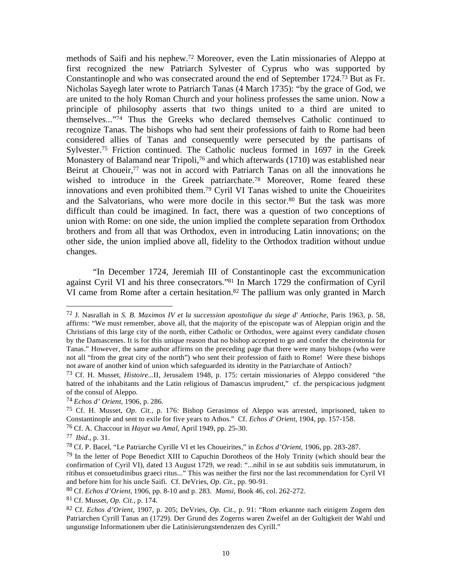methods of Saifi and his nephew.72 Moreover, even the Latin missionaries of Aleppo at first recognized the new Patriarch Sylvester of Cyprus who was supported by Constantinople and who was consecrated around the end of September 1724.73 But as Fr. Nicholas Sayegh later wrote to Patriarch Tanas (4 March 1735): "by the grace of God, we are united to the holy Roman Church and your holiness professes the same union. Now a principle of philosophy asserts that two things united to a third are united to themselves..."74 Thus the Greeks who declared themselves Catholic continued to recognize Tanas. The bishops who had sent their professions of faith to Rome had been considered allies of Tanas and consequently were persecuted by the partisans of Sylvester.<sup>75</sup> Friction continued. The Catholic nucleus formed in 1697 in the Greek Monastery of Balamand near Tripoli,<sup>76</sup> and which afterwards (1710) was established near Beirut at Choueir,<sup>77</sup> was not in accord with Patriarch Tanas on all the innovations he wished to introduce in the Greek patriarchate.<sup>78</sup> Moreover, Rome feared these innovations and even prohibited them.79 Cyril VI Tanas wished to unite the Choueirites and the Salvatorians, who were more docile in this sector.<sup>80</sup> But the task was more difficult than could be imagined. In fact, there was a question of two conceptions of union with Rome: on one side, the union implied the complete separation from Orthodox brothers and from all that was Orthodox, even in introducing Latin innovations; on the other side, the union implied above all, fidelity to the Orthodox tradition without undue changes.

 "In December 1724, Jeremiah III of Constantinople cast the excommunication against Cyril VI and his three consecrators."81 In March 1729 the confirmation of Cyril VI came from Rome after a certain hesitation.<sup>82</sup> The pallium was only granted in March

<sup>72</sup> J. Nasrallah in *S. B. Maximos IV et la succession apostolique du siege d' Antioche,* Paris 1963, p. 58, affirms: "We must remember, above all, that the majority of the episcopate was of Aleppian origin and the Christians of this large city of the north, either Catholic or Orthodox, were against every candidate chosen by the Damascenes. It is for this unique reason that no bishop accepted to go and confer the cheirotonia for Tanas." However, the same author affirms on the preceding page that there were many bishops (who were not all "from the great city of the north") who sent their profession of faith to Rome! Were these bishops not aware of another kind of union which safeguarded its identity in the Patriarchate of Antioch?

<sup>73</sup> Cf. H. Musset, *Histoire...*II, Jerusalem 1948, p. 175: certain missionaries of Aleppo considered "the hatred of the inhabitants and the Latin religious of Damascus imprudent," cf. the perspicacious judgment of the consul of Aleppo.

<sup>74</sup> *Echos d' Orient,* 1906, p. 286.

<sup>75</sup> Cf. H. Musset, *Op. Cit.,* p. 176: Bishop Gerasimos of Aleppo was arrested, imprisoned, taken to Constantinople and sent to exile for five years to Athos." Cf. *Echos d' Orient,* 1904, pp. 157-158.

<sup>76</sup> Cf. A. Chaccour in *Hayat wa Amal,* April 1949, pp. 25-30.

<sup>77</sup> *Ibid*., p. 31.

<sup>78</sup> Cf. P. Bacel, "Le Patriarche Cyrille VI et les Choueirites," in *Echos d'Orient,* 1906, pp. 283-287.

 $^{79}$  In the letter of Pope Benedict XIII to Capuchin Dorotheos of the Holy Trinity (which should bear the confirmation of Cyril VI), dated 13 August 1729, we read: "...nihil in se aut subditis suis immutaturum, in ritibus et consuetudinibus graeci ritus..." This was neither the first nor the last recommendation for Cyril VI and before him for his uncle Saifi. Cf. DeVries, *Op. Cit*., pp. 90-91.

<sup>80</sup> Cf. *Echos d'Orient*, 1906, pp. 8-10 and p. 283. *Mansi,* Book 46, col. 262-272.

<sup>81</sup> Cf. Musset, *Op. Cit.*, p. 174.

<sup>82</sup> Cf. *Echos d'Orient,* 1907, p. 205; DeVries, *Op. Cit.*, p. 91: "Rom erkannte nach einigem Zogern den Patriarchen Cyrill Tanas an (1729). Der Grund des Zogerns waren Zweifel an der Gultigkeit der Wahl und ungunstige Informationem uber die Latinisierungstendenzen des Cyrill."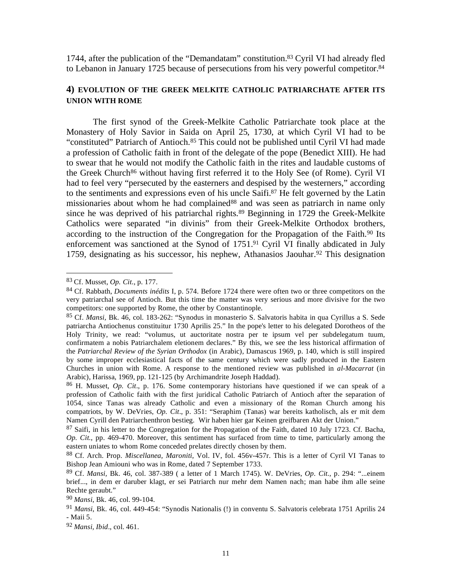1744, after the publication of the "Demandatam" constitution.83 Cyril VI had already fled to Lebanon in January 1725 because of persecutions from his very powerful competitor.<sup>84</sup>

### **4) EVOLUTION OF THE GREEK MELKITE CATHOLIC PATRIARCHATE AFTER ITS UNION WITH ROME**

 The first synod of the Greek-Melkite Catholic Patriarchate took place at the Monastery of Holy Savior in Saida on April 25, 1730, at which Cyril VI had to be "constituted" Patriarch of Antioch.<sup>85</sup> This could not be published until Cyril VI had made a profession of Catholic faith in front of the delegate of the pope (Benedict XIII). He had to swear that he would not modify the Catholic faith in the rites and laudable customs of the Greek Church<sup>86</sup> without having first referred it to the Holy See (of Rome). Cyril VI had to feel very "persecuted by the easterners and despised by the westerners," according to the sentiments and expressions even of his uncle Saifi.87 He felt governed by the Latin missionaries about whom he had complained<sup>88</sup> and was seen as patriarch in name only since he was deprived of his patriarchal rights.<sup>89</sup> Beginning in 1729 the Greek-Melkite Catholics were separated "in divinis" from their Greek-Melkite Orthodox brothers, according to the instruction of the Congregation for the Propagation of the Faith.<sup>90</sup> Its enforcement was sanctioned at the Synod of 1751.<sup>91</sup> Cyril VI finally abdicated in July 1759, designating as his successor, his nephew, Athanasios Jaouhar.<sup>92</sup> This designation

<sup>83</sup> Cf. Musset, *Op. Cit*., p. 177.

<sup>84</sup> Cf. Rabbath, *Documents inédits* I, p. 574. Before 1724 there were often two or three competitors on the very patriarchal see of Antioch. But this time the matter was very serious and more divisive for the two competitors: one supported by Rome, the other by Constantinople.

<sup>85</sup> Cf. *Mansi,* Bk. 46, col. 183-262: "Synodus in monasterio S. Salvatoris habita in qua Cyrillus a S. Sede patriarcha Antiochenus constituitur 1730 Aprilis 25." In the pope's letter to his delegated Dorotheos of the Holy Trinity, we read: "volumus, ut auctoritate nostra per te ipsum vel per subdelegatum tuum, confirmatem a nobis Patriarchalem eletionem declares." By this, we see the less historical affirmation of the *Patriarchal Review of the Syrian Orthodox* (in Arabic), Damascus 1969, p. 140, which is still inspired by some improper ecclesiastical facts of the same century which were sadly produced in the Eastern Churches in union with Rome. A response to the mentioned review was published in *al-Macarrat* (in Arabic), Harissa, 1969, pp. 121-125 (by Archimandrite Joseph Haddad).

<sup>86</sup> H. Musset, *Op. Cit*., p. 176. Some contemporary historians have questioned if we can speak of a profession of Catholic faith with the first juridical Catholic Patriarch of Antioch after the separation of 1054, since Tanas was already Catholic and even a missionary of the Roman Church among his compatriots, by W. DeVries, *Op. Cit*., p. 351: "Seraphim (Tanas) war bereits katholisch, als er mit dem Namen Cyrill den Patriarchenthron bestieg. Wir haben hier gar Keinen greifbaren Akt der Union."

<sup>&</sup>lt;sup>87</sup> Saifi, in his letter to the Congregation for the Propagation of the Faith, dated 10 July 1723. Cf. Bacha, *Op. Cit.*, pp. 469-470. Moreover, this sentiment has surfaced from time to time, particularly among the eastern uniates to whom Rome conceded prelates directly chosen by them.

<sup>88</sup> Cf. Arch. Prop. *Miscellanea, Maroniti,* Vol. IV, fol. 456v-457r. This is a letter of Cyril VI Tanas to Bishop Jean Amiouni who was in Rome, dated 7 September 1733.

<sup>89</sup> Cf. *Mansi,* Bk. 46, col. 387-389 ( a letter of 1 March 1745). W. DeVries, *Op. Cit.,* p. 294: "...einem brief..., in dem er daruber klagt, er sei Patriarch nur mehr dem Namen nach; man habe ihm alle seine Rechte geraubt."

<sup>90</sup> *Mansi*, Bk. 46, col. 99-104.

<sup>91</sup> *Mansi*, Bk. 46, col. 449-454: "Synodis Nationalis (!) in conventu S. Salvatoris celebrata 1751 Aprilis 24 - Maii 5.

<sup>92</sup> *Mansi, Ibid*., col. 461.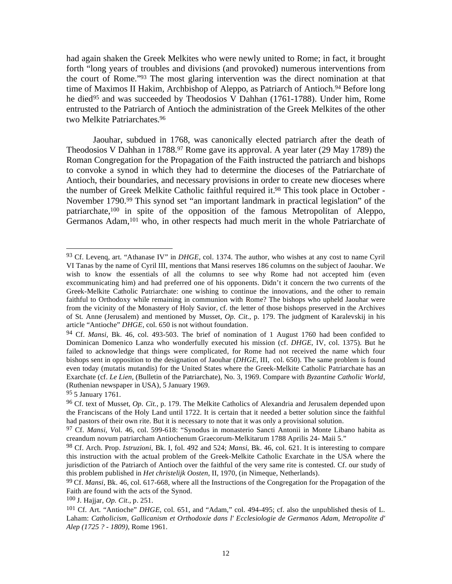had again shaken the Greek Melkites who were newly united to Rome; in fact, it brought forth "long years of troubles and divisions (and provoked) numerous interventions from the court of Rome."93 The most glaring intervention was the direct nomination at that time of Maximos II Hakim, Archbishop of Aleppo, as Patriarch of Antioch.<sup>94</sup> Before long he died<sup>95</sup> and was succeeded by Theodosios V Dahhan (1761-1788). Under him, Rome entrusted to the Patriarch of Antioch the administration of the Greek Melkites of the other two Melkite Patriarchates.96

 Jaouhar, subdued in 1768, was canonically elected patriarch after the death of Theodosios V Dahhan in 1788.<sup>97</sup> Rome gave its approval. A year later (29 May 1789) the Roman Congregation for the Propagation of the Faith instructed the patriarch and bishops to convoke a synod in which they had to determine the dioceses of the Patriarchate of Antioch, their boundaries, and necessary provisions in order to create new dioceses where the number of Greek Melkite Catholic faithful required it.98 This took place in October - November 1790.<sup>99</sup> This synod set "an important landmark in practical legislation" of the patriarchate,100 in spite of the opposition of the famous Metropolitan of Aleppo, Germanos Adam,<sup>101</sup> who, in other respects had much merit in the whole Patriarchate of

95 5 January 1761.

<sup>93</sup> Cf. Levenq, art. "Athanase IV" in *DHGE*, col. 1374. The author, who wishes at any cost to name Cyril VI Tanas by the name of Cyril III, mentions that Mansi reserves 186 columns on the subject of Jaouhar. We wish to know the essentials of all the columns to see why Rome had not accepted him (even excommunicating him) and had preferred one of his opponents. Didn't it concern the two currents of the Greek-Melkite Catholic Patriarchate: one wishing to continue the innovations, and the other to remain faithful to Orthodoxy while remaining in communion with Rome? The bishops who upheld Jaouhar were from the vicinity of the Monastery of Holy Savior, cf. the letter of those bishops preserved in the Archives of St. Anne (Jerusalem) and mentioned by Musset, *Op. Cit.*, p. 179. The judgment of Karalevskij in his article "Antioche" *DHGE,* col. 650 is not without foundation.

<sup>94</sup> Cf. *Mansi,* Bk. 46, col. 493-503. The brief of nomination of 1 August 1760 had been confided to Dominican Domenico Lanza who wonderfully executed his mission (cf. *DHGE*, IV, col. 1375). But he failed to acknowledge that things were complicated, for Rome had not received the name which four bishops sent in opposition to the designation of Jaouhar (*DHGE,* III, col. 650). The same problem is found even today (mutatis mutandis) for the United States where the Greek-Melkite Catholic Patriarchate has an Exarchate (cf. *Le Lien,* (Bulletin of the Patriarchate), No. 3, 1969. Compare with *Byzantine Catholic World,* (Ruthenian newspaper in USA), 5 January 1969.

<sup>96</sup> Cf. text of Musset, *Op. Cit.*, p. 179. The Melkite Catholics of Alexandria and Jerusalem depended upon the Franciscans of the Holy Land until 1722. It is certain that it needed a better solution since the faithful had pastors of their own rite. But it is necessary to note that it was only a provisional solution.

<sup>97</sup> Cf. *Mansi, V*ol. 46, col. 599-618: "Synodus in monasterio Sancti Antonii in Monte Libano habita as creandum novum patriarcham Antiochenum Graecorum-Melkitarum 1788 Aprilis 24- Maii 5."

<sup>98</sup> Cf. Arch. Prop. *Istruzioni,* Bk. I, fol. 492 and 524; *Mansi*, Bk. 46, col. 621. It is interesting to compare this instruction with the actual problem of the Greek-Melkite Catholic Exarchate in the USA where the jurisdiction of the Patriarch of Antioch over the faithful of the very same rite is contested. Cf. our study of this problem published in *Het christelijk Oosten*, II, 1970, (in Nimeque, Netherlands).

<sup>99</sup> Cf. *Mansi*, Bk. 46, col. 617-668, where all the Instructions of the Congregation for the Propagation of the Faith are found with the acts of the Synod.

<sup>100</sup> J. Hajjar, *Op. Cit.,* p. 251.

<sup>101</sup> Cf. Art. "Antioche" *DHGE,* col. 651, and "Adam," col. 494-495; cf. also the unpublished thesis of L. Laham: *Catholicism, Gallicanism et Orthodoxie dans l' Ecclesiologie de Germanos Adam, Metropolite d' Alep (1725 ? - 1809),* Rome 1961.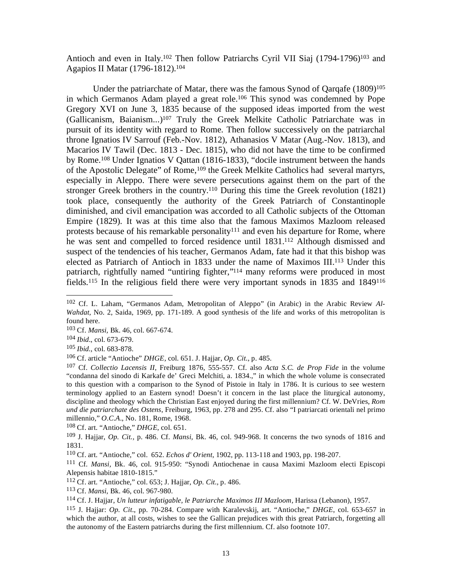Antioch and even in Italy.<sup>102</sup> Then follow Patriarchs Cyril VII Siaj (1794-1796)<sup>103</sup> and Agapios II Matar (1796-1812).104

Under the patriarchate of Matar, there was the famous Synod of Qarqafe  $(1809)^{105}$ in which Germanos Adam played a great role.106 This synod was condemned by Pope Gregory XVI on June 3, 1835 because of the supposed ideas imported from the west (Gallicanism, Baianism...)107 Truly the Greek Melkite Catholic Patriarchate was in pursuit of its identity with regard to Rome. Then follow successively on the patriarchal throne Ignatios IV Sarrouf (Feb.-Nov. 1812), Athanasios V Matar (Aug.-Nov. 1813), and Macarios IV Tawil (Dec. 1813 - Dec. 1815), who did not have the time to be confirmed by Rome.108 Under Ignatios V Qattan (1816-1833), "docile instrument between the hands of the Apostolic Delegate" of Rome,<sup>109</sup> the Greek Melkite Catholics had several martyrs, especially in Aleppo. There were severe persecutions against them on the part of the stronger Greek brothers in the country.110 During this time the Greek revolution (1821) took place, consequently the authority of the Greek Patriarch of Constantinople diminished, and civil emancipation was accorded to all Catholic subjects of the Ottoman Empire (1829). It was at this time also that the famous Maximos Mazloom released protests because of his remarkable personality<sup>111</sup> and even his departure for Rome, where he was sent and compelled to forced residence until 1831.112 Although dismissed and suspect of the tendencies of his teacher, Germanos Adam, fate had it that this bishop was elected as Patriarch of Antioch in 1833 under the name of Maximos III.113 Under this patriarch, rightfully named "untiring fighter,"114 many reforms were produced in most fields.115 In the religious field there were very important synods in 1835 and 1849116

 $\overline{a}$ 

108 Cf. art. "Antioche," *DHGE*, col. 651.

<sup>102</sup> Cf. L. Laham, "Germanos Adam, Metropolitan of Aleppo" (in Arabic) in the Arabic Review *Al-Wahdat,* No. 2, Saida, 1969, pp. 171-189. A good synthesis of the life and works of this metropolitan is found here.

<sup>103</sup> Cf. *Mansi,* Bk. 46, col. 667-674.

<sup>104</sup> *Ibid*., col. 673-679.

<sup>105</sup> *Ibid.*, col. 683-878.

<sup>106</sup> Cf. article "Antioche" *DHGE,* col. 651. J. Hajjar, *Op. Cit*., p. 485.

<sup>107</sup> Cf. *Collectio Lacensis II*, Freiburg 1876, 555-557. Cf. also *Acta S.C. de Prop Fide* in the volume "condanna del sinodo di Karkafe de' Greci Melchiti, a. 1834.," in which the whole volume is consecrated to this question with a comparison to the Synod of Pistoie in Italy in 1786. It is curious to see western terminology applied to an Eastern synod! Doesn't it concern in the last place the liturgical autonomy, discipline and theology which the Christian East enjoyed during the first millennium? Cf. W. DeVries, *Rom und die patriarchate des Ostens*, Freiburg, 1963, pp. 278 and 295. Cf. also "I patriarcati orientali nel primo millennio," *O.C.A*., No. 181, Rome, 1968.

<sup>109</sup> J. Hajjar, *Op. Cit.,* p. 486. Cf. *Mansi,* Bk. 46, col. 949-968. It concerns the two synods of 1816 and 1831.

<sup>110</sup> Cf. art. "Antioche," col. 652. *Echos d' Orient*, 1902, pp. 113-118 and 1903, pp. 198-207.

<sup>111</sup> Cf. *Mansi,* Bk. 46, col. 915-950: "Synodi Antiochenae in causa Maximi Mazloom electi Episcopi Alepensis habitae 1810-1815."

<sup>112</sup> Cf. art. "Antioche," col. 653; J. Hajjar, *Op. Cit.,* p. 486.

<sup>113</sup> Cf. *Mansi*, Bk. 46, col. 967-980.

<sup>114</sup> Cf. J. Hajjar, *Un lutteur infatigable, le Patriarche Maximos III Mazloom,* Harissa (Lebanon), 1957.

<sup>115</sup> J. Hajjar: *Op. Cit*., pp. 70-284. Compare with Karalevskij, art. "Antioche," *DHGE*, col. 653-657 in which the author, at all costs, wishes to see the Gallican prejudices with this great Patriarch, forgetting all the autonomy of the Eastern patriarchs during the first millennium. Cf. also footnote 107.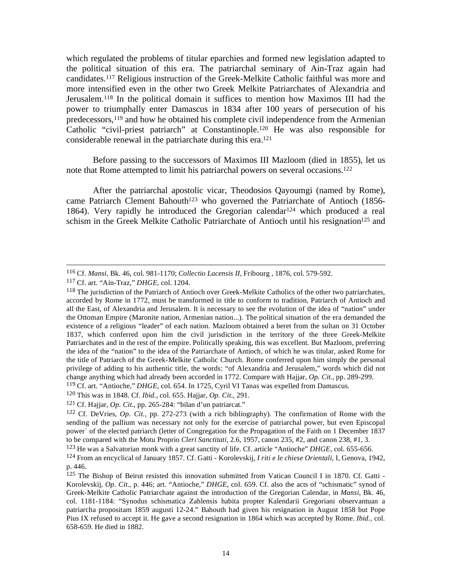which regulated the problems of titular eparchies and formed new legislation adapted to the political situation of this era. The patriarchal seminary of Ain-Traz again had candidates.117 Religious instruction of the Greek-Melkite Catholic faithful was more and more intensified even in the other two Greek Melkite Patriarchates of Alexandria and Jerusalem.118 In the political domain it suffices to mention how Maximos III had the power to triumphally enter Damascus in 1834 after 100 years of persecution of his predecessors,119 and how he obtained his complete civil independence from the Armenian Catholic "civil-priest patriarch" at Constantinople.120 He was also responsible for considerable renewal in the patriarchate during this era.121

 Before passing to the successors of Maximos III Mazloom (died in 1855), let us note that Rome attempted to limit his patriarchal powers on several occasions.122

 After the patriarchal apostolic vicar, Theodosios Qayoumgi (named by Rome), came Patriarch Clement Bahouth<sup>123</sup> who governed the Patriarchate of Antioch (1856-1864). Very rapidly he introduced the Gregorian calendar124 which produced a real schism in the Greek Melkite Catholic Patriarchate of Antioch until his resignation<sup>125</sup> and

 <sup>116</sup> Cf. *Mansi*, Bk. 46, col. 981-1170; *Collectio Lacensis II,* Fribourg , 1876, col. 579-592.

<sup>117</sup> Cf. art. "Ain-Traz," *DHGE,* col. 1204.

<sup>&</sup>lt;sup>118</sup> The jurisdiction of the Patriarch of Antioch over Greek-Melkite Catholics of the other two patriarchates, accorded by Rome in 1772, must be transformed in title to conform to tradition, Patriarch of Antioch and all the East, of Alexandria and Jerusalem. It is necessary to see the evolution of the idea of "nation" under the Ottoman Empire (Maronite nation, Armenian nation...). The political situation of the era demanded the existence of a religious "leader" of each nation. Mazloom obtained a beret from the sultan on 31 October 1837, which conferred upon him the civil jurisdiction in the territory of the three Greek-Melkite Patriarchates and in the rest of the empire. Politically speaking, this was excellent. But Mazloom, preferring the idea of the "nation" to the idea of the Patriarchate of Antioch, of which he was titular, asked Rome for the title of Patriarch of the Greek-Melkite Catholic Church. Rome conferred upon him simply the personal privilege of adding to his authentic title, the words: "of Alexandria and Jerusalem," words which did not change anything which had already been accorded in 1772. Compare with Hajjar, *Op. Cit.*, pp. 289-299. 119 Cf. art. "Antioche," *DHGE,* col. 654. In 1725, Cyril VI Tanas was expelled from Damascus.

<sup>120</sup> This was in 1848. Cf. *Ibid*., col. 655. Hajjar, *Op. Cit*., 291.

<sup>121</sup> Cf. Hajjar, *Op. Cit.*, pp. 265-284: "bilan d'un patriarcat."

<sup>122</sup> Cf. DeVries, *Op. Cit.,* pp. 272-273 (with a rich bibliography). The confirmation of Rome with the sending of the pallium was necessary not only for the exercise of patriarchal power, but even Episcopal power` of the elected patriarch (letter of Congregation for the Propagation of the Faith on 1 December 1837 to be compared with the Motu Proprio *Cleri Sanctitati,* 2.6, 1957, canon 235, #2, and canon 238, #1, 3.

<sup>123</sup> He was a Salvatorian monk with a great sanctity of life. Cf. article "Antioche" *DHGE*, col. 655-656.

<sup>124</sup> From an encyclical of January 1857. Cf. Gatti - Korolevskij, *I riti e le chiese Orientali*, I, Genova, 1942, p. 446.

<sup>125</sup> The Bishop of Beirut resisted this innovation submitted from Vatican Council I in 1870. Cf. Gatti - Korolevskij, *Op. Cit.,* p. 446; art. "Antioche," *DHGE*, col. 659. Cf. also the acts of "schismatic" synod of Greek-Melkite Catholic Patriarchate against the introduction of the Gregorian Calendar, in *Mansi*, Bk. 46, col. 1181-1184: "Synodus schismatica Zahlensis habita propter Kalendarii Gregoriani observantuan a patriarcha propositam 1859 augusti 12-24." Bahouth had given his resignation in August 1858 but Pope Pius IX refused to accept it. He gave a second resignation in 1864 which was accepted by Rome. *Ibid.*, col. 658-659. He died in 1882.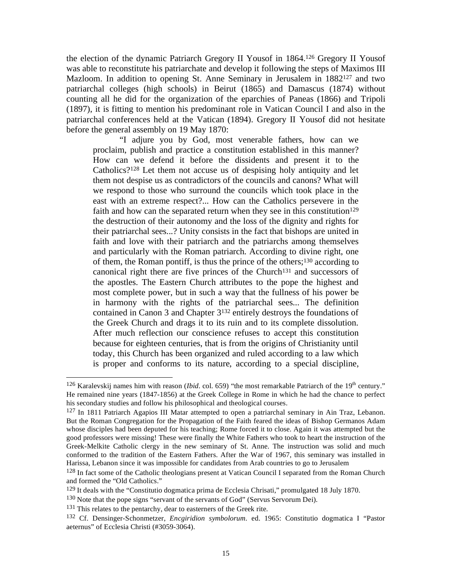the election of the dynamic Patriarch Gregory II Yousof in 1864.126 Gregory II Yousof was able to reconstitute his patriarchate and develop it following the steps of Maximos III Mazloom. In addition to opening St. Anne Seminary in Jerusalem in 1882<sup>127</sup> and two patriarchal colleges (high schools) in Beirut (1865) and Damascus (1874) without counting all he did for the organization of the eparchies of Paneas (1866) and Tripoli (1897), it is fitting to mention his predominant role in Vatican Council I and also in the patriarchal conferences held at the Vatican (1894). Gregory II Yousof did not hesitate before the general assembly on 19 May 1870:

 "I adjure you by God, most venerable fathers, how can we proclaim, publish and practice a constitution established in this manner? How can we defend it before the dissidents and present it to the Catholics?128 Let them not accuse us of despising holy antiquity and let them not despise us as contradictors of the councils and canons? What will we respond to those who surround the councils which took place in the east with an extreme respect?... How can the Catholics persevere in the faith and how can the separated return when they see in this constitution<sup>129</sup> the destruction of their autonomy and the loss of the dignity and rights for their patriarchal sees...? Unity consists in the fact that bishops are united in faith and love with their patriarch and the patriarchs among themselves and particularly with the Roman patriarch. According to divine right, one of them, the Roman pontiff, is thus the prince of the others;130 according to canonical right there are five princes of the Church131 and successors of the apostles. The Eastern Church attributes to the pope the highest and most complete power, but in such a way that the fullness of his power be in harmony with the rights of the patriarchal sees... The definition contained in Canon 3 and Chapter 3132 entirely destroys the foundations of the Greek Church and drags it to its ruin and to its complete dissolution. After much reflection our conscience refuses to accept this constitution because for eighteen centuries, that is from the origins of Christianity until today, this Church has been organized and ruled according to a law which is proper and conforms to its nature, according to a special discipline,

<sup>&</sup>lt;sup>126</sup> Karalevskij names him with reason (*Ibid.* col. 659) "the most remarkable Patriarch of the 19<sup>th</sup> century." He remained nine years (1847-1856) at the Greek College in Rome in which he had the chance to perfect his secondary studies and follow his philosophical and theological courses.

<sup>127</sup> In 1811 Patriarch Agapios III Matar attempted to open a patriarchal seminary in Ain Traz, Lebanon. But the Roman Congregation for the Propagation of the Faith feared the ideas of Bishop Germanos Adam whose disciples had been deputed for his teaching; Rome forced it to close. Again it was attempted but the good professors were missing! These were finally the White Fathers who took to heart the instruction of the Greek-Melkite Catholic clergy in the new seminary of St. Anne. The instruction was solid and much conformed to the tradition of the Eastern Fathers. After the War of 1967, this seminary was installed in Harissa, Lebanon since it was impossible for candidates from Arab countries to go to Jerusalem

<sup>&</sup>lt;sup>128</sup> In fact some of the Catholic theologians present at Vatican Council I separated from the Roman Church and formed the "Old Catholics."

<sup>129</sup> It deals with the "Constitutio dogmatica prima de Ecclesia Chrisati," promulgated 18 July 1870.

<sup>130</sup> Note that the pope signs "servant of the servants of God" (Servus Servorum Dei).

<sup>&</sup>lt;sup>131</sup> This relates to the pentarchy, dear to easterners of the Greek rite.

<sup>132</sup> Cf. Densinger-Schonmetzer, *Encgiridion symbolorum*. ed. 1965: Constitutio dogmatica I "Pastor aeternus" of Ecclesia Christi (#3059-3064).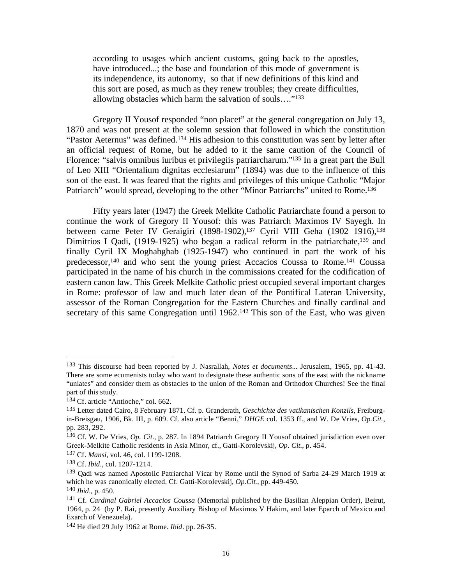according to usages which ancient customs, going back to the apostles, have introduced...; the base and foundation of this mode of government is its independence, its autonomy, so that if new definitions of this kind and this sort are posed, as much as they renew troubles; they create difficulties, allowing obstacles which harm the salvation of souls…."133

 Gregory II Yousof responded "non placet" at the general congregation on July 13, 1870 and was not present at the solemn session that followed in which the constitution "Pastor Aeternus" was defined.134 His adhesion to this constitution was sent by letter after an official request of Rome, but he added to it the same caution of the Council of Florence: "salvis omnibus iuribus et privilegiis patriarcharum."135 In a great part the Bull of Leo XIII "Orientalium dignitas ecclesiarum" (1894) was due to the influence of this son of the east. It was feared that the rights and privileges of this unique Catholic "Major Patriarch" would spread, developing to the other "Minor Patriarchs" united to Rome.<sup>136</sup>

 Fifty years later (1947) the Greek Melkite Catholic Patriarchate found a person to continue the work of Gregory II Yousof: this was Patriarch Maximos IV Sayegh. In between came Peter IV Geraigiri (1898-1902),<sup>137</sup> Cyril VIII Geha (1902 1916),<sup>138</sup> Dimitrios I Qadi, (1919-1925) who began a radical reform in the patriarchate,<sup>139</sup> and finally Cyril IX Moghabghab (1925-1947) who continued in part the work of his predecessor,140 and who sent the young priest Accacios Coussa to Rome.141 Coussa participated in the name of his church in the commissions created for the codification of eastern canon law. This Greek Melkite Catholic priest occupied several important charges in Rome: professor of law and much later dean of the Pontifical Lateran University, assessor of the Roman Congregation for the Eastern Churches and finally cardinal and secretary of this same Congregation until 1962.<sup>142</sup> This son of the East, who was given

<sup>133</sup> This discourse had been reported by J. Nasrallah, *Notes et documents*... Jerusalem, 1965, pp. 41-43. There are some ecumenists today who want to designate these authentic sons of the east with the nickname "uniates" and consider them as obstacles to the union of the Roman and Orthodox Churches! See the final part of this study.

<sup>134</sup> Cf. article "Antioche," col. 662.

<sup>135</sup> Letter dated Cairo, 8 February 1871. Cf. p. Granderath, *Geschichte des vatikanischen Konzils*, Freiburgin-Breisgau, 1906, Bk. III, p. 609. Cf. also article "Benni," *DHGE* col. 1353 ff., and W. De Vries, *Op.Cit.*, pp. 283, 292.

<sup>136</sup> Cf. W. De Vries, *Op. Cit*., p. 287. In 1894 Patriarch Gregory II Yousof obtained jurisdiction even over Greek-Melkite Catholic residents in Asia Minor, cf., Gatti-Korolevskij, *Op. Cit.*, p. 454.

<sup>137</sup> Cf. *Mansi*, vol. 46, col. 1199-1208.

<sup>138</sup> Cf. *Ibid*., col. 1207-1214.

<sup>139</sup> Qadi was named Apostolic Patriarchal Vicar by Rome until the Synod of Sarba 24-29 March 1919 at which he was canonically elected. Cf. Gatti-Korolevskij, *Op.Cit.*, pp. 449-450. <sup>140</sup> *Ibid*., p. 450.

<sup>141</sup> Cf. *Cardinal Gabriel Accacios Coussa* (Memorial published by the Basilian Aleppian Order), Beirut, 1964, p. 24 (by P. Rai, presently Auxiliary Bishop of Maximos V Hakim, and later Eparch of Mexico and Exarch of Venezuela).

<sup>142</sup> He died 29 July 1962 at Rome. *Ibid*. pp. 26-35.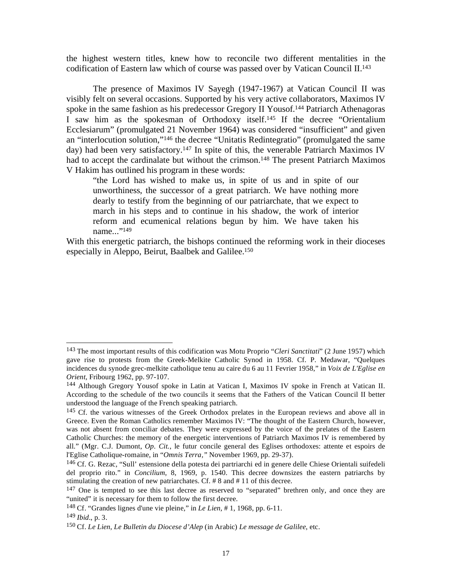the highest western titles, knew how to reconcile two different mentalities in the codification of Eastern law which of course was passed over by Vatican Council II.143

 The presence of Maximos IV Sayegh (1947-1967) at Vatican Council II was visibly felt on several occasions. Supported by his very active collaborators, Maximos IV spoke in the same fashion as his predecessor Gregory II Yousof.144 Patriarch Athenagoras I saw him as the spokesman of Orthodoxy itself.145 If the decree "Orientalium Ecclesiarum" (promulgated 21 November 1964) was considered "insufficient" and given an "interlocution solution,"146 the decree "Unitatis Redintegratio" (promulgated the same day) had been very satisfactory.147 In spite of this, the venerable Patriarch Maximos IV had to accept the cardinalate but without the crimson.<sup>148</sup> The present Patriarch Maximos V Hakim has outlined his program in these words:

"the Lord has wished to make us, in spite of us and in spite of our unworthiness, the successor of a great patriarch. We have nothing more dearly to testify from the beginning of our patriarchate, that we expect to march in his steps and to continue in his shadow, the work of interior reform and ecumenical relations begun by him. We have taken his name..."<sup>149</sup>

With this energetic patriarch, the bishops continued the reforming work in their dioceses especially in Aleppo, Beirut, Baalbek and Galilee.150

<sup>143</sup> The most important results of this codification was Motu Proprio "*Cleri Sanctitati*" (2 June 1957) which gave rise to protests from the Greek-Melkite Catholic Synod in 1958. Cf. P. Medawar, "Quelques incidences du synode grec-melkite catholique tenu au caire du 6 au 11 Fevrier 1958," in *Voix de L'Eglise en Orient*, Fribourg 1962, pp. 97-107.

<sup>144</sup> Although Gregory Yousof spoke in Latin at Vatican I, Maximos IV spoke in French at Vatican II. According to the schedule of the two councils it seems that the Fathers of the Vatican Council II better understood the language of the French speaking patriarch.

<sup>&</sup>lt;sup>145</sup> Cf. the various witnesses of the Greek Orthodox prelates in the European reviews and above all in Greece. Even the Roman Catholics remember Maximos IV: "The thought of the Eastern Church, however, was not absent from conciliar debates. They were expressed by the voice of the prelates of the Eastern Catholic Churches: the memory of the energetic interventions of Patriarch Maximos IV is remembered by all." (Mgr. C.J. Dumont, *Op. Cit.*, le futur concile general des Eglises orthodoxes: attente et espoirs de l'Eglise Catholique-romaine, in "*Omnis Terra,"* November 1969, pp. 29-37).

<sup>146</sup> Cf. G. Rezac, "Sull' estensione della potesta dei partriarchi ed in genere delle Chiese Orientali suifedeli del proprio rito." in *Concilium*, 8, 1969, p. 1540. This decree downsizes the eastern patriarchs by stimulating the creation of new patriarchates. Cf. # 8 and # 11 of this decree.

<sup>&</sup>lt;sup>147</sup> One is tempted to see this last decree as reserved to "separated" brethren only, and once they are "united" it is necessary for them to follow the first decree.

<sup>148</sup> Cf. "Grandes lignes d'une vie pleine," in *Le Lien*, # 1, 1968, pp. 6-11.

<sup>149</sup> *Ibid*., p. 3.

<sup>150</sup> Cf. *Le Lien*, *Le Bulletin du Diocese d'Alep* (in Arabic) *Le message de Galilee*, etc.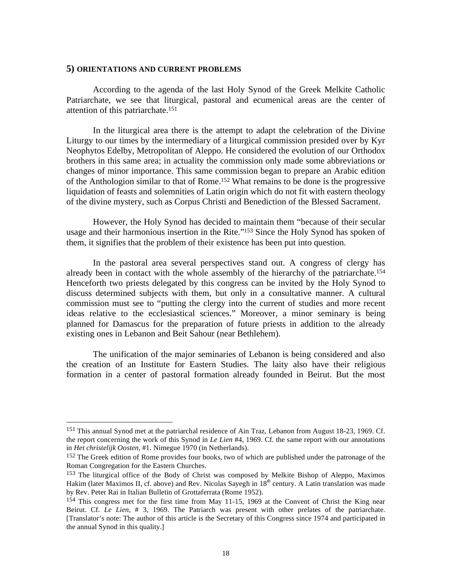#### **5) ORIENTATIONS AND CURRENT PROBLEMS**

 $\overline{a}$ 

 According to the agenda of the last Holy Synod of the Greek Melkite Catholic Patriarchate, we see that liturgical, pastoral and ecumenical areas are the center of attention of this patriarchate.151

 In the liturgical area there is the attempt to adapt the celebration of the Divine Liturgy to our times by the intermediary of a liturgical commission presided over by Kyr Neophytos Edelby, Metropolitan of Aleppo. He considered the evolution of our Orthodox brothers in this same area; in actuality the commission only made some abbreviations or changes of minor importance. This same commission began to prepare an Arabic edition of the Anthologion similar to that of Rome.152 What remains to be done is the progressive liquidation of feasts and solemnities of Latin origin which do not fit with eastern theology of the divine mystery, such as Corpus Christi and Benediction of the Blessed Sacrament.

 However, the Holy Synod has decided to maintain them "because of their secular usage and their harmonious insertion in the Rite."153 Since the Holy Synod has spoken of them, it signifies that the problem of their existence has been put into question.

 In the pastoral area several perspectives stand out. A congress of clergy has already been in contact with the whole assembly of the hierarchy of the patriarchate.154 Henceforth two priests delegated by this congress can be invited by the Holy Synod to discuss determined subjects with them, but only in a consultative manner. A cultural commission must see to "putting the clergy into the current of studies and more recent ideas relative to the ecclesiastical sciences." Moreover, a minor seminary is being planned for Damascus for the preparation of future priests in addition to the already existing ones in Lebanon and Beit Sahour (near Bethlehem).

 The unification of the major seminaries of Lebanon is being considered and also the creation of an Institute for Eastern Studies. The laity also have their religious formation in a center of pastoral formation already founded in Beirut. But the most

<sup>151</sup> This annual Synod met at the patriarchal residence of Ain Traz, Lebanon from August 18-23, 1969. Cf. the report concerning the work of this Synod in *Le Lien* #4, 1969. Cf. the same report with our annotations in *Het christelijk Oosten*, #1. Nimegue 1970 (in Netherlands).

<sup>&</sup>lt;sup>152</sup> The Greek edition of Rome provides four books, two of which are published under the patronage of the Roman Congregation for the Eastern Churches.

<sup>&</sup>lt;sup>153</sup> The liturgical office of the Body of Christ was composed by Melkite Bishop of Aleppo, Maximos Hakim (later Maximos II, cf. above) and Rev. Nicolas Sayegh in  $18<sup>th</sup>$  century. A Latin translation was made by Rev. Peter Rai in Italian Bulletin of Grottaferrata (Rome 1952).

<sup>154</sup> This congress met for the first time from May 11-15, 1969 at the Convent of Christ the King near Beirut. Cf. *Le Lien*, # 3, 1969. The Patriarch was present with other prelates of the patriarchate. [Translator's note: The author of this article is the Secretary of this Congress since 1974 and participated in the annual Synod in this quality.]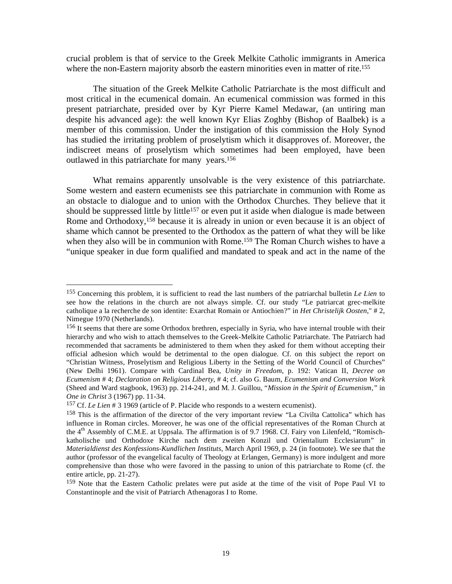crucial problem is that of service to the Greek Melkite Catholic immigrants in America where the non-Eastern majority absorb the eastern minorities even in matter of rite.<sup>155</sup>

 The situation of the Greek Melkite Catholic Patriarchate is the most difficult and most critical in the ecumenical domain. An ecumenical commission was formed in this present patriarchate, presided over by Kyr Pierre Kamel Medawar, (an untiring man despite his advanced age): the well known Kyr Elias Zoghby (Bishop of Baalbek) is a member of this commission. Under the instigation of this commission the Holy Synod has studied the irritating problem of proselytism which it disapproves of. Moreover, the indiscreet means of proselytism which sometimes had been employed, have been outlawed in this patriarchate for many years.156

 What remains apparently unsolvable is the very existence of this patriarchate. Some western and eastern ecumenists see this patriarchate in communion with Rome as an obstacle to dialogue and to union with the Orthodox Churches. They believe that it should be suppressed little by little<sup>157</sup> or even put it aside when dialogue is made between Rome and Orthodoxy,<sup>158</sup> because it is already in union or even because it is an object of shame which cannot be presented to the Orthodox as the pattern of what they will be like when they also will be in communion with Rome.<sup>159</sup> The Roman Church wishes to have a "unique speaker in due form qualified and mandated to speak and act in the name of the

1

<sup>155</sup> Concerning this problem, it is sufficient to read the last numbers of the patriarchal bulletin *Le Lien* to see how the relations in the church are not always simple. Cf. our study "Le patriarcat grec-melkite catholique a la recherche de son identite: Exarchat Romain or Antiochien?" in *Het Christelijk Oosten*," # 2, Nimegue 1970 (Netherlands).

<sup>156</sup> It seems that there are some Orthodox brethren, especially in Syria, who have internal trouble with their hierarchy and who wish to attach themselves to the Greek-Melkite Catholic Patriarchate. The Patriarch had recommended that sacraments be administered to them when they asked for them without accepting their official adhesion which would be detrimental to the open dialogue. Cf. on this subject the report on "Christian Witness, Proselytism and Religious Liberty in the Setting of the World Council of Churches" (New Delhi 1961). Compare with Cardinal Bea, *Unity in Freedom*, p. 192: Vatican II, *Decree on Ecumenism* # 4; *Declaration on Religious Liberty*, # 4; cf. also G. Baum, *Ecumenism and Conversion Work* (Sheed and Ward stagbook, 1963) pp. 214-241, and M. J. Guillou, "*Mission in the Spirit of Ecumenism,"* in *One in Christ* 3 (1967) pp. 11-34.

<sup>157</sup> Cf. *Le Lien* # 3 1969 (article of P. Placide who responds to a western ecumenist).

<sup>158</sup> This is the affirmation of the director of the very important review "La Civilta Cattolica" which has influence in Roman circles. Moreover, he was one of the official representatives of the Roman Church at the 4<sup>th</sup> Assembly of C.M.E. at Uppsala. The affirmation is of 9.7 1968. Cf. Fairy von Lilenfeld, "Romischkatholische und Orthodoxe Kirche nach dem zweiten Konzil und Orientalium Ecclesiarum" in *Materialdienst des Konfessions-Kundlichen Instituts,* March April 1969, p. 24 (in footnote). We see that the author (professor of the evangelical faculty of Theology at Erlangen, Germany) is more indulgent and more comprehensive than those who were favored in the passing to union of this patriarchate to Rome (cf. the entire article, pp. 21-27).

<sup>159</sup> Note that the Eastern Catholic prelates were put aside at the time of the visit of Pope Paul VI to Constantinople and the visit of Patriarch Athenagoras I to Rome.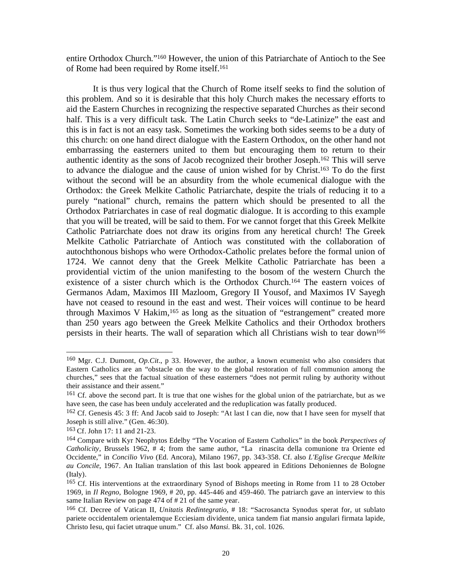entire Orthodox Church."160 However, the union of this Patriarchate of Antioch to the See of Rome had been required by Rome itself.161

 It is thus very logical that the Church of Rome itself seeks to find the solution of this problem. And so it is desirable that this holy Church makes the necessary efforts to aid the Eastern Churches in recognizing the respective separated Churches as their second half. This is a very difficult task. The Latin Church seeks to "de-Latinize" the east and this is in fact is not an easy task. Sometimes the working both sides seems to be a duty of this church: on one hand direct dialogue with the Eastern Orthodox, on the other hand not embarrassing the easterners united to them but encouraging them to return to their authentic identity as the sons of Jacob recognized their brother Joseph.162 This will serve to advance the dialogue and the cause of union wished for by Christ.163 To do the first without the second will be an absurdity from the whole ecumenical dialogue with the Orthodox: the Greek Melkite Catholic Patriarchate, despite the trials of reducing it to a purely "national" church, remains the pattern which should be presented to all the Orthodox Patriarchates in case of real dogmatic dialogue. It is according to this example that you will be treated, will be said to them. For we cannot forget that this Greek Melkite Catholic Patriarchate does not draw its origins from any heretical church! The Greek Melkite Catholic Patriarchate of Antioch was constituted with the collaboration of autochthonous bishops who were Orthodox-Catholic prelates before the formal union of 1724. We cannot deny that the Greek Melkite Catholic Patriarchate has been a providential victim of the union manifesting to the bosom of the western Church the existence of a sister church which is the Orthodox Church.164 The eastern voices of Germanos Adam, Maximos III Mazloom, Gregory II Yousof, and Maximos IV Sayegh have not ceased to resound in the east and west. Their voices will continue to be heard through Maximos V Hakim,<sup>165</sup> as long as the situation of "estrangement" created more than 250 years ago between the Greek Melkite Catholics and their Orthodox brothers persists in their hearts. The wall of separation which all Christians wish to tear down<sup>166</sup>

<sup>160</sup> Mgr. C.J. Dumont, *Op.Cit*., p 33. However, the author, a known ecumenist who also considers that Eastern Catholics are an "obstacle on the way to the global restoration of full communion among the churches," sees that the factual situation of these easterners "does not permit ruling by authority without their assistance and their assent."

<sup>&</sup>lt;sup>161</sup> Cf. above the second part. It is true that one wishes for the global union of the patriarchate, but as we have seen, the case has been unduly accelerated and the reduplication was fatally produced.

<sup>162</sup> Cf. Genesis 45: 3 ff: And Jacob said to Joseph: "At last I can die, now that I have seen for myself that Joseph is still alive." (Gen. 46:30).

<sup>163</sup> Cf. John 17: 11 and 21-23.

<sup>164</sup> Compare with Kyr Neophytos Edelby "The Vocation of Eastern Catholics" in the book *Perspectives of Catholicity,* Brussels 1962, # 4; from the same author, "La rinascita della comunione tra Oriente ed Occidente," in *Concilio Vivo* (Ed. Ancora), Milano 1967, pp. 343-358. Cf. also *L'Eglise Grecque Melkite au Concile*, 1967. An Italian translation of this last book appeared in Editions Dehoniennes de Bologne (Italy).

<sup>165</sup> Cf. His interventions at the extraordinary Synod of Bishops meeting in Rome from 11 to 28 October 1969, in *Il Regno*, Bologne 1969, # 20, pp. 445-446 and 459-460. The patriarch gave an interview to this same Italian Review on page 474 of # 21 of the same year.

<sup>166</sup> Cf. Decree of Vatican II, *Unitatis Redintegratio,* # 18: "Sacrosancta Synodus sperat for, ut sublato pariete occidentalem orientalemque Ecciesiam dividente, unica tandem fiat mansio angulari firmata lapide, Christo Iesu, qui faciet utraque unum." Cf. also *Mansi*. Bk. 31, col. 1026.